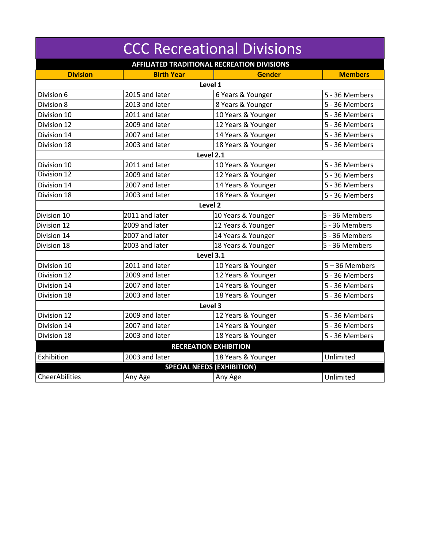| <b>CCC Recreational Divisions</b>                  |                   |                                   |                  |  |  |  |
|----------------------------------------------------|-------------------|-----------------------------------|------------------|--|--|--|
| <b>AFFILIATED TRADITIONAL RECREATION DIVISIONS</b> |                   |                                   |                  |  |  |  |
| <b>Division</b>                                    | <b>Birth Year</b> | <b>Gender</b>                     | <b>Members</b>   |  |  |  |
| Level 1                                            |                   |                                   |                  |  |  |  |
| Division 6                                         | 2015 and later    | 6 Years & Younger                 | 5 - 36 Members   |  |  |  |
| Division 8                                         | 2013 and later    | 8 Years & Younger                 | 5 - 36 Members   |  |  |  |
| Division 10                                        | 2011 and later    | 10 Years & Younger                | 5 - 36 Members   |  |  |  |
| Division 12                                        | 2009 and later    | 12 Years & Younger                | 5 - 36 Members   |  |  |  |
| Division 14                                        | 2007 and later    | 14 Years & Younger                | 5 - 36 Members   |  |  |  |
| Division 18                                        | 2003 and later    | 18 Years & Younger                | 5 - 36 Members   |  |  |  |
| Level 2.1                                          |                   |                                   |                  |  |  |  |
| Division 10                                        | 2011 and later    | 10 Years & Younger                | 5 - 36 Members   |  |  |  |
| Division 12                                        | 2009 and later    | 12 Years & Younger                | 5 - 36 Members   |  |  |  |
| Division 14                                        | 2007 and later    | 14 Years & Younger                | 5 - 36 Members   |  |  |  |
| Division 18                                        | 2003 and later    | 18 Years & Younger                | 5 - 36 Members   |  |  |  |
|                                                    |                   | Level <sub>2</sub>                |                  |  |  |  |
| Division 10                                        | 2011 and later    | 10 Years & Younger                | 5 - 36 Members   |  |  |  |
| Division 12                                        | 2009 and later    | 12 Years & Younger                | 5 - 36 Members   |  |  |  |
| Division 14                                        | 2007 and later    | 14 Years & Younger                | 5 - 36 Members   |  |  |  |
| Division 18                                        | 2003 and later    | 18 Years & Younger                | 5 - 36 Members   |  |  |  |
| Level 3.1                                          |                   |                                   |                  |  |  |  |
| Division 10                                        | 2011 and later    | 10 Years & Younger                | $5 - 36$ Members |  |  |  |
| Division 12                                        | 2009 and later    | 12 Years & Younger                | 5 - 36 Members   |  |  |  |
| Division 14                                        | 2007 and later    | 14 Years & Younger                | 5 - 36 Members   |  |  |  |
| Division 18                                        | 2003 and later    | 18 Years & Younger                | 5 - 36 Members   |  |  |  |
| Level 3                                            |                   |                                   |                  |  |  |  |
| Division 12                                        | 2009 and later    | 12 Years & Younger                | 5 - 36 Members   |  |  |  |
| Division 14                                        | 2007 and later    | 14 Years & Younger                | 5 - 36 Members   |  |  |  |
| Division 18                                        | 2003 and later    | 18 Years & Younger                | 5 - 36 Members   |  |  |  |
| <b>RECREATION EXHIBITION</b>                       |                   |                                   |                  |  |  |  |
| Exhibition                                         | 2003 and later    | 18 Years & Younger                | Unlimited        |  |  |  |
|                                                    |                   | <b>SPECIAL NEEDS (EXHIBITION)</b> |                  |  |  |  |
| CheerAbilities                                     | Any Age           | Any Age                           | Unlimited        |  |  |  |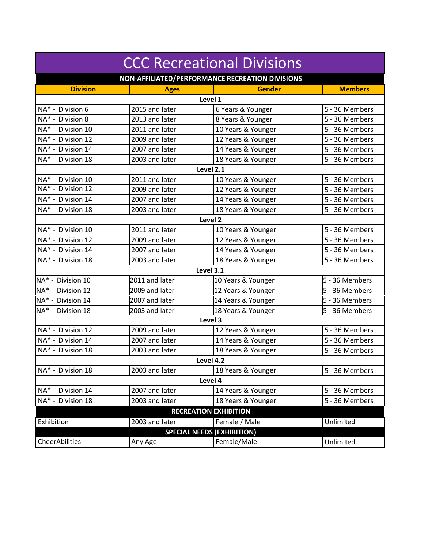| <b>CCC Recreational Divisions</b>               |                |                                      |                |  |  |  |
|-------------------------------------------------|----------------|--------------------------------------|----------------|--|--|--|
| NON-AFFILIATED/PERFORMANCE RECREATION DIVISIONS |                |                                      |                |  |  |  |
| <b>Division</b>                                 | <b>Ages</b>    | <b>Gender</b>                        | <b>Members</b> |  |  |  |
|                                                 | Level 1        |                                      |                |  |  |  |
| NA* - Division 6                                | 2015 and later | 6 Years & Younger                    | 5 - 36 Members |  |  |  |
| NA* - Division 8                                | 2013 and later | 8 Years & Younger                    | 5 - 36 Members |  |  |  |
| NA* - Division 10                               | 2011 and later | 10 Years & Younger<br>5 - 36 Members |                |  |  |  |
| NA* - Division 12                               | 2009 and later | 12 Years & Younger<br>5 - 36 Members |                |  |  |  |
| NA* - Division 14                               | 2007 and later | 14 Years & Younger                   | 5 - 36 Members |  |  |  |
| NA* - Division 18                               | 2003 and later | 18 Years & Younger                   | 5 - 36 Members |  |  |  |
| Level 2.1                                       |                |                                      |                |  |  |  |
| NA* - Division 10                               | 2011 and later | 10 Years & Younger                   | 5 - 36 Members |  |  |  |
| NA* - Division 12                               | 2009 and later | 12 Years & Younger                   | 5 - 36 Members |  |  |  |
| NA* - Division 14                               | 2007 and later | 14 Years & Younger                   | 5 - 36 Members |  |  |  |
| NA* - Division 18                               | 2003 and later | 18 Years & Younger                   | 5 - 36 Members |  |  |  |
| Level <sub>2</sub>                              |                |                                      |                |  |  |  |
| NA* - Division 10                               | 2011 and later | 10 Years & Younger                   | 5 - 36 Members |  |  |  |
| NA* - Division 12                               | 2009 and later | 12 Years & Younger                   | 5 - 36 Members |  |  |  |
| NA* - Division 14                               | 2007 and later | 14 Years & Younger                   | 5 - 36 Members |  |  |  |
| NA* - Division 18                               | 2003 and later | 18 Years & Younger                   | 5 - 36 Members |  |  |  |
|                                                 | Level 3.1      |                                      |                |  |  |  |
| NA* - Division 10                               | 2011 and later | 10 Years & Younger                   | 5 - 36 Members |  |  |  |
| NA* - Division 12                               | 2009 and later | 12 Years & Younger                   | 5 - 36 Members |  |  |  |
| NA* - Division 14                               | 2007 and later | 14 Years & Younger                   | 5 - 36 Members |  |  |  |
| NA* - Division 18                               | 2003 and later | 18 Years & Younger                   | 5 - 36 Members |  |  |  |
| Level 3                                         |                |                                      |                |  |  |  |
| NA* - Division 12                               | 2009 and later | 12 Years & Younger                   | 5 - 36 Members |  |  |  |
| NA* - Division 14                               | 2007 and later | 14 Years & Younger                   | 5 - 36 Members |  |  |  |
| NA* - Division 18                               | 2003 and later | 18 Years & Younger                   | 5 - 36 Members |  |  |  |
| Level 4.2                                       |                |                                      |                |  |  |  |
| NA* - Division 18                               | 2003 and later | 18 Years & Younger                   | 5 - 36 Members |  |  |  |
| Level 4                                         |                |                                      |                |  |  |  |
| NA* - Division 14                               | 2007 and later | 14 Years & Younger                   | 5 - 36 Members |  |  |  |
| NA* - Division 18                               | 2003 and later | 18 Years & Younger                   | 5 - 36 Members |  |  |  |
| <b>RECREATION EXHIBITION</b>                    |                |                                      |                |  |  |  |
| Exhibition                                      | 2003 and later | Female / Male                        | Unlimited      |  |  |  |
| <b>SPECIAL NEEDS (EXHIBITION)</b>               |                |                                      |                |  |  |  |
| CheerAbilities                                  | Any Age        | Female/Male                          | Unlimited      |  |  |  |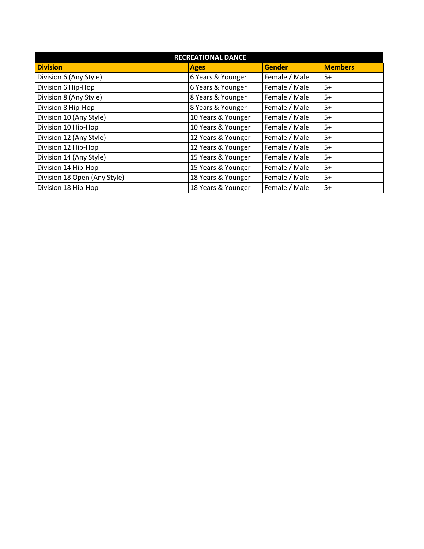| <b>RECREATIONAL DANCE</b>    |                    |               |                |  |  |  |  |
|------------------------------|--------------------|---------------|----------------|--|--|--|--|
| <b>Division</b>              | <b>Ages</b>        | <b>Gender</b> | <b>Members</b> |  |  |  |  |
| Division 6 (Any Style)       | 6 Years & Younger  | Female / Male | $5+$           |  |  |  |  |
| Division 6 Hip-Hop           | 6 Years & Younger  | Female / Male | $5+$           |  |  |  |  |
| Division 8 (Any Style)       | 8 Years & Younger  | Female / Male | $5+$           |  |  |  |  |
| Division 8 Hip-Hop           | 8 Years & Younger  | Female / Male | $5+$           |  |  |  |  |
| Division 10 (Any Style)      | 10 Years & Younger | Female / Male | $5+$           |  |  |  |  |
| Division 10 Hip-Hop          | 10 Years & Younger | Female / Male | $5+$           |  |  |  |  |
| Division 12 (Any Style)      | 12 Years & Younger | Female / Male | $5+$           |  |  |  |  |
| Division 12 Hip-Hop          | 12 Years & Younger | Female / Male | $5+$           |  |  |  |  |
| Division 14 (Any Style)      | 15 Years & Younger | Female / Male | $5+$           |  |  |  |  |
| Division 14 Hip-Hop          | 15 Years & Younger | Female / Male | $5+$           |  |  |  |  |
| Division 18 Open (Any Style) | 18 Years & Younger | Female / Male | $5+$           |  |  |  |  |
| Division 18 Hip-Hop          | 18 Years & Younger | Female / Male | $5+$           |  |  |  |  |